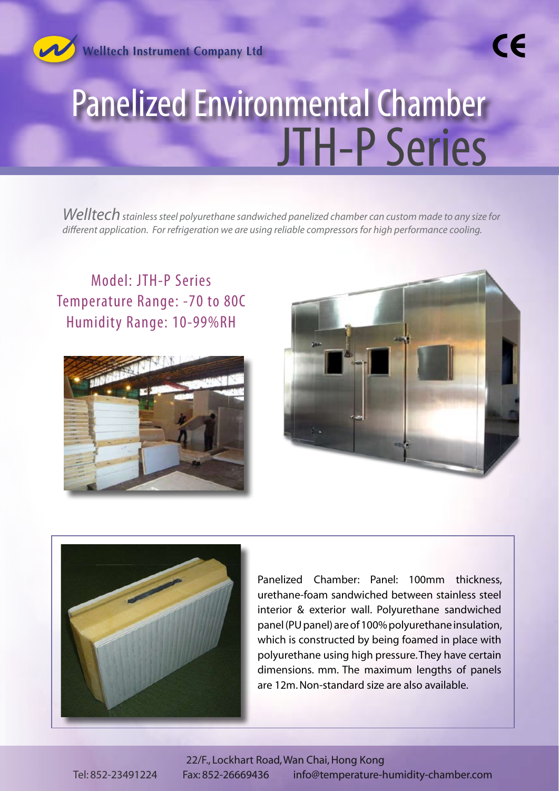

**Welltech Instrument Company Ltd** 

## Panelized Environmental Chamber JTH-P Series

*Welltech stainless steel polyurethane sandwiched panelized chamber can custom made to any size for different application. For refrigeration we are using reliable compressors for high performance cooling.*

Model: JTH-P Series Temperature Range: -70 to 80C Humidity Range: 10-99%RH





CE



Panelized Chamber: Panel: 100mm thickness, urethane-foam sandwiched between stainless steel interior & exterior wall. Polyurethane sandwiched panel (PU panel) are of 100% polyurethane insulation, which is constructed by being foamed in place with polyurethane using high pressure. They have certain dimensions. mm. The maximum lengths of panels are 12m. Non-standard size are also available.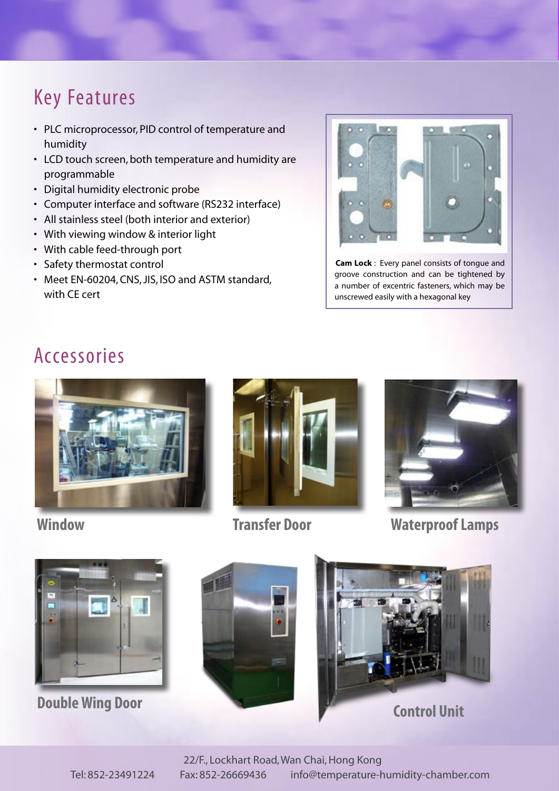## Key Features

- PLC microprocessor, PID control of temperature and humidity
- LCD touch screen, both temperature and humidity are programmable
- • Digital humidity electronic probe
- • Computer interface and software (RS232 interface)
- All stainless steel (both interior and exterior)
- • With viewing window & interior light
- With cable feed-through port
- • Safety thermostat control
- Meet EN-60204, CNS, JIS, ISO and ASTM standard, with CE cert



**Cam Lock** : Every panel consists of tongue and groove construction and can be tightened by a number of excentric fasteners, which may be unscrewed easily with a hexagonal key

## Accessories





**Transfer Door**



**Window Waterproof Lamps**



**Double Wing Door**